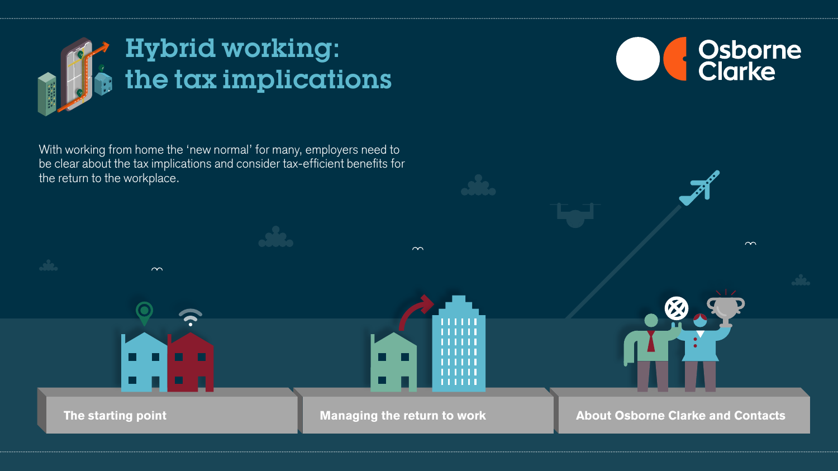

With working from home the 'new normal' for many, employers need to be clear about the tax implications and consider tax-efficient benefits for the return to the workplace.



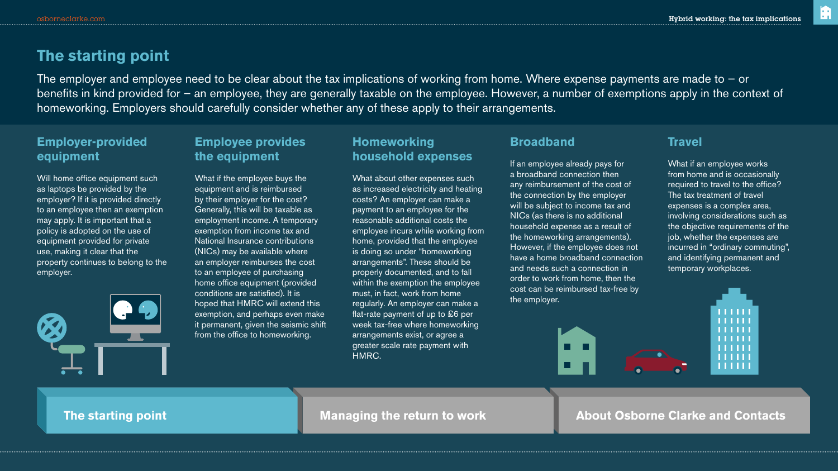m

# **The starting point**

The employer and employee need to be clear about the tax implications of working from home. Where expense payments are made to – or benefits in kind provided for – an employee, they are generally taxable on the employee. However, a number of exemptions apply in the context of homeworking. Employers should carefully consider whether any of these apply to their arrangements.

# **Employer-provided equipment**

Will home office equipment such as laptops be provided by the employer? If it is provided directly to an employee then an exemption may apply. It is important that a policy is adopted on the use of equipment provided for private use, making it clear that the property continues to belong to the employer.



# **Employee provides the equipment**

What if the employee buys the equipment and is reimbursed by their employer for the cost? Generally, this will be taxable as employment income. A temporary exemption from income tax and National Insurance contributions (NICs) may be available where an employer reimburses the cost to an employee of purchasing home office equipment (provided conditions are satisfied). It is hoped that HMRC will extend this exemption, and perhaps even make it permanent, given the seismic shift from the office to homeworking.

## **Homeworking household expenses**

What about other expenses such as increased electricity and heating costs? An employer can make a payment to an employee for the reasonable additional costs the employee incurs while working from home, provided that the employee is doing so under "homeworking arrangements". These should be properly documented, and to fall within the exemption the employee must, in fact, work from home regularly. An employer can make a flat-rate payment of up to £6 per week tax-free where homeworking arrangements exist, or agree a greater scale rate payment with HMRC.

### **Broadband**

If an employee already pays for a broadband connection then any reimbursement of the cost of the connection by the employer will be subject to income tax and NICs (as there is no additional household expense as a result of the homeworking arrangements). However, if the employee does not have a home broadband connection and needs such a connection in order to work from home, then the cost can be reimbursed tax-free by the employer.

# **Travel**

What if an employee works from home and is occasionally required to travel to the office? The tax treatment of travel expenses is a complex area, involving considerations such as the objective requirements of the job, whether the expenses are incurred in "ordinary commuting", and identifying permanent and temporary workplaces.



**The starting point Managing the return to work About Osborne Clarke and Contacts**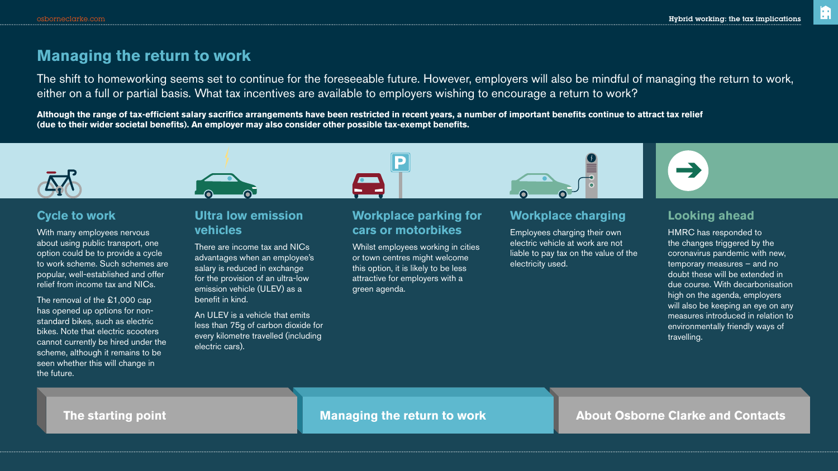m

# **Managing the return to work**

The shift to homeworking seems set to continue for the foreseeable future. However, employers will also be mindful of managing the return to work, either on a full or partial basis. What tax incentives are available to employers wishing to encourage a return to work?

**Although the range of tax-efficient salary sacrifice arrangements have been restricted in recent years, a number of important benefits continue to attract tax relief (due to their wider societal benefits). An employer may also consider other possible tax-exempt benefits.**